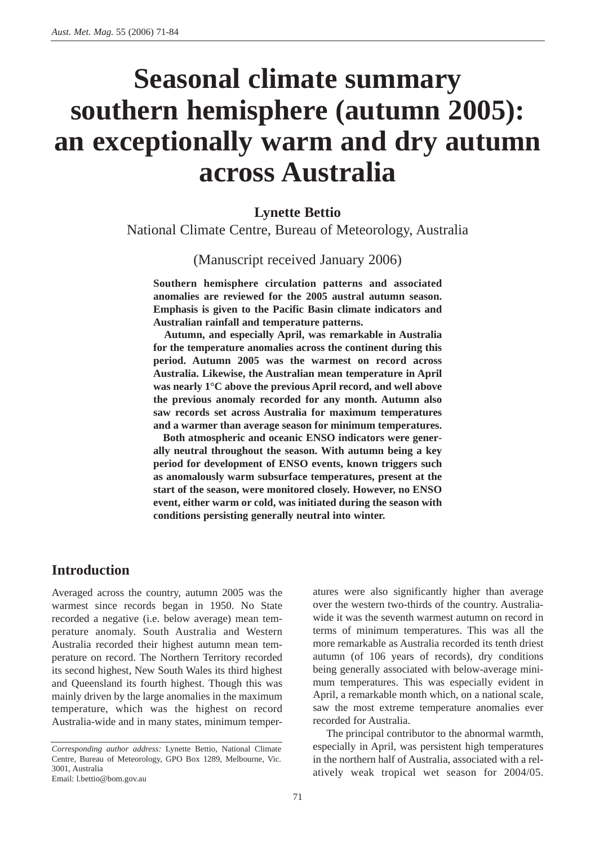# **Seasonal climate summary southern hemisphere (autumn 2005): an exceptionally warm and dry autumn across Australia**

## **Lynette Bettio**

National Climate Centre, Bureau of Meteorology, Australia

(Manuscript received January 2006)

**Southern hemisphere circulation patterns and associated anomalies are reviewed for the 2005 austral autumn season. Emphasis is given to the Pacific Basin climate indicators and Australian rainfall and temperature patterns.** 

**Autumn, and especially April, was remarkable in Australia for the temperature anomalies across the continent during this period. Autumn 2005 was the warmest on record across Australia. Likewise, the Australian mean temperature in April was nearly 1°C above the previous April record, and well above the previous anomaly recorded for any month. Autumn also saw records set across Australia for maximum temperatures and a warmer than average season for minimum temperatures.**

**Both atmospheric and oceanic ENSO indicators were generally neutral throughout the season. With autumn being a key period for development of ENSO events, known triggers such as anomalously warm subsurface temperatures, present at the start of the season, were monitored closely. However, no ENSO event, either warm or cold, was initiated during the season with conditions persisting generally neutral into winter.**

# **Introduction**

Averaged across the country, autumn 2005 was the warmest since records began in 1950. No State recorded a negative (i.e. below average) mean temperature anomaly. South Australia and Western Australia recorded their highest autumn mean temperature on record. The Northern Territory recorded its second highest, New South Wales its third highest and Queensland its fourth highest. Though this was mainly driven by the large anomalies in the maximum temperature, which was the highest on record Australia-wide and in many states, minimum temperatures were also significantly higher than average over the western two-thirds of the country. Australiawide it was the seventh warmest autumn on record in terms of minimum temperatures. This was all the more remarkable as Australia recorded its tenth driest autumn (of 106 years of records), dry conditions being generally associated with below-average minimum temperatures. This was especially evident in April, a remarkable month which, on a national scale, saw the most extreme temperature anomalies ever recorded for Australia.

The principal contributor to the abnormal warmth, especially in April, was persistent high temperatures in the northern half of Australia, associated with a relatively weak tropical wet season for 2004/05.

*Corresponding author address:* Lynette Bettio, National Climate Centre, Bureau of Meteorology, GPO Box 1289, Melbourne, Vic. 3001, Australia

Email: l.bettio@bom.gov.au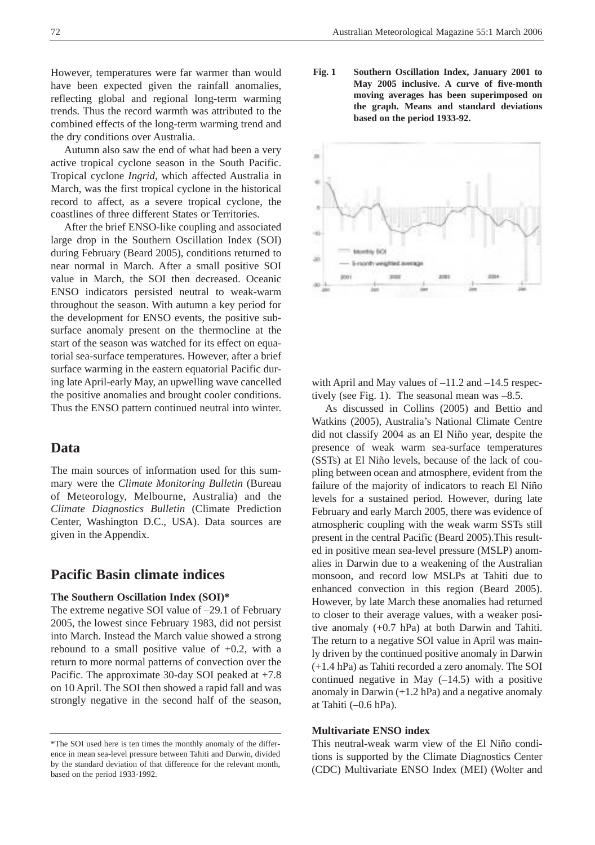However, temperatures were far warmer than would have been expected given the rainfall anomalies, reflecting global and regional long-term warming trends. Thus the record warmth was attributed to the combined effects of the long-term warming trend and the dry conditions over Australia.

Autumn also saw the end of what had been a very active tropical cyclone season in the South Pacific. Tropical cyclone *Ingrid*, which affected Australia in March, was the first tropical cyclone in the historical record to affect, as a severe tropical cyclone, the coastlines of three different States or Territories.

After the brief ENSO-like coupling and associated large drop in the Southern Oscillation Index (SOI) during February (Beard 2005), conditions returned to near normal in March. After a small positive SOI value in March, the SOI then decreased. Oceanic ENSO indicators persisted neutral to weak-warm throughout the season. With autumn a key period for the development for ENSO events, the positive subsurface anomaly present on the thermocline at the start of the season was watched for its effect on equatorial sea-surface temperatures. However, after a brief surface warming in the eastern equatorial Pacific during late April-early May, an upwelling wave cancelled the positive anomalies and brought cooler conditions. Thus the ENSO pattern continued neutral into winter.

# **Data**

The main sources of information used for this summary were the *Climate Monitoring Bulletin* (Bureau of Meteorology, Melbourne, Australia) and the *Climate Diagnostics Bulletin* (Climate Prediction Center, Washington D.C., USA). Data sources are given in the Appendix.

# **Pacific Basin climate indices**

#### **The Southern Oscillation Index (SOI)\***

The extreme negative SOI value of –29.1 of February 2005, the lowest since February 1983, did not persist into March. Instead the March value showed a strong rebound to a small positive value of +0.2, with a return to more normal patterns of convection over the Pacific. The approximate 30-day SOI peaked at +7.8 on 10 April. The SOI then showed a rapid fall and was strongly negative in the second half of the season,

**Fig. 1 Southern Oscillation Index, January 2001 to May 2005 inclusive. A curve of five-month moving averages has been superimposed on the graph. Means and standard deviations based on the period 1933-92.**



with April and May values of –11.2 and –14.5 respectively (see Fig. 1). The seasonal mean was –8.5.

As discussed in Collins (2005) and Bettio and Watkins (2005), Australia's National Climate Centre did not classify 2004 as an El Niño year, despite the presence of weak warm sea-surface temperatures (SSTs) at El Niño levels, because of the lack of coupling between ocean and atmosphere, evident from the failure of the majority of indicators to reach El Niño levels for a sustained period. However, during late February and early March 2005, there was evidence of atmospheric coupling with the weak warm SSTs still present in the central Pacific (Beard 2005).This resulted in positive mean sea-level pressure (MSLP) anomalies in Darwin due to a weakening of the Australian monsoon, and record low MSLPs at Tahiti due to enhanced convection in this region (Beard 2005). However, by late March these anomalies had returned to closer to their average values, with a weaker positive anomaly (+0.7 hPa) at both Darwin and Tahiti. The return to a negative SOI value in April was mainly driven by the continued positive anomaly in Darwin (+1.4 hPa) as Tahiti recorded a zero anomaly. The SOI continued negative in May  $(-14.5)$  with a positive anomaly in Darwin  $(+1.2$  hPa) and a negative anomaly at Tahiti (–0.6 hPa).

#### **Multivariate ENSO index**

This neutral-weak warm view of the El Niño conditions is supported by the Climate Diagnostics Center (CDC) Multivariate ENSO Index (MEI) (Wolter and

<sup>\*</sup>The SOI used here is ten times the monthly anomaly of the difference in mean sea-level pressure between Tahiti and Darwin, divided by the standard deviation of that difference for the relevant month, based on the period 1933-1992.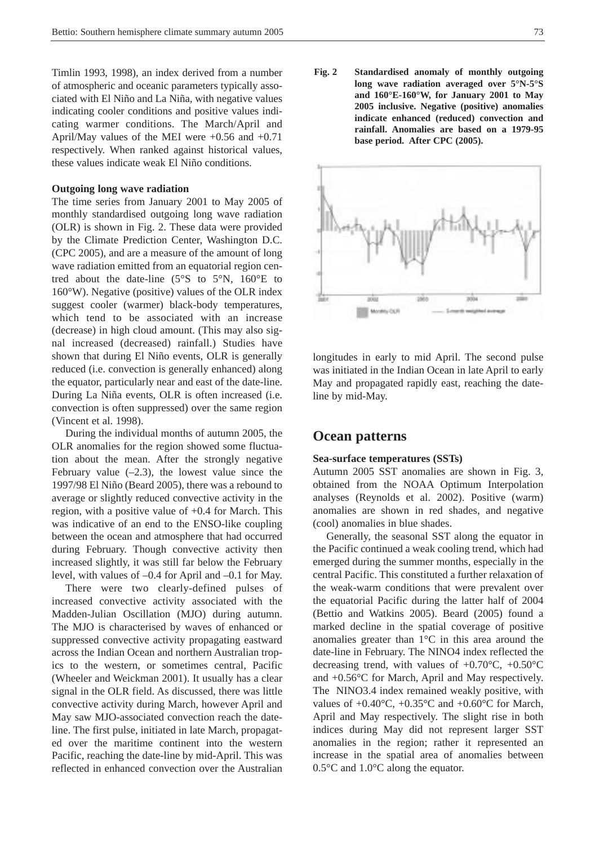Timlin 1993, 1998), an index derived from a number of atmospheric and oceanic parameters typically associated with El Niño and La Niña, with negative values indicating cooler conditions and positive values indicating warmer conditions. The March/April and April/May values of the MEI were +0.56 and +0.71 respectively. When ranked against historical values, these values indicate weak El Niño conditions.

### **Outgoing long wave radiation**

The time series from January 2001 to May 2005 of monthly standardised outgoing long wave radiation (OLR) is shown in Fig. 2. These data were provided by the Climate Prediction Center, Washington D.C. (CPC 2005), and are a measure of the amount of long wave radiation emitted from an equatorial region centred about the date-line (5°S to 5°N, 160°E to  $160^{\circ}$ W). Negative (positive) values of the OLR index suggest cooler (warmer) black-body temperatures, which tend to be associated with an increase (decrease) in high cloud amount. (This may also signal increased (decreased) rainfall.) Studies have shown that during El Niño events, OLR is generally reduced (i.e. convection is generally enhanced) along the equator, particularly near and east of the date-line. During La Niña events, OLR is often increased (i.e. convection is often suppressed) over the same region (Vincent et al. 1998).

During the individual months of autumn 2005, the OLR anomalies for the region showed some fluctuation about the mean. After the strongly negative February value  $(-2.3)$ , the lowest value since the 1997/98 El Niño (Beard 2005), there was a rebound to average or slightly reduced convective activity in the region, with a positive value of  $+0.4$  for March. This was indicative of an end to the ENSO-like coupling between the ocean and atmosphere that had occurred during February. Though convective activity then increased slightly, it was still far below the February level, with values of –0.4 for April and –0.1 for May.

There were two clearly-defined pulses of increased convective activity associated with the Madden-Julian Oscillation (MJO) during autumn. The MJO is characterised by waves of enhanced or suppressed convective activity propagating eastward across the Indian Ocean and northern Australian tropics to the western, or sometimes central, Pacific (Wheeler and Weickman 2001). It usually has a clear signal in the OLR field. As discussed, there was little convective activity during March, however April and May saw MJO-associated convection reach the dateline. The first pulse, initiated in late March, propagated over the maritime continent into the western Pacific, reaching the date-line by mid-April. This was reflected in enhanced convection over the Australian **Fig. 2 Standardised anomaly of monthly outgoing long wave radiation averaged over 5°N-5°S and 160°E-160°W, for January 2001 to May 2005 inclusive. Negative (positive) anomalies indicate enhanced (reduced) convection and rainfall. Anomalies are based on a 1979-95 base period. After CPC (2005).**



longitudes in early to mid April. The second pulse was initiated in the Indian Ocean in late April to early May and propagated rapidly east, reaching the dateline by mid-May.

## **Ocean patterns**

#### **Sea-surface temperatures (SSTs)**

Autumn 2005 SST anomalies are shown in Fig. 3, obtained from the NOAA Optimum Interpolation analyses (Reynolds et al. 2002). Positive (warm) anomalies are shown in red shades, and negative (cool) anomalies in blue shades.

Generally, the seasonal SST along the equator in the Pacific continued a weak cooling trend, which had emerged during the summer months, especially in the central Pacific. This constituted a further relaxation of the weak-warm conditions that were prevalent over the equatorial Pacific during the latter half of 2004 (Bettio and Watkins 2005). Beard (2005) found a marked decline in the spatial coverage of positive anomalies greater than 1°C in this area around the date-line in February. The NINO4 index reflected the decreasing trend, with values of  $+0.70^{\circ}$ C,  $+0.50^{\circ}$ C and +0.56°C for March, April and May respectively. The NINO3.4 index remained weakly positive, with values of  $+0.40^{\circ}$ C,  $+0.35^{\circ}$ C and  $+0.60^{\circ}$ C for March, April and May respectively. The slight rise in both indices during May did not represent larger SST anomalies in the region; rather it represented an increase in the spatial area of anomalies between 0.5°C and 1.0°C along the equator.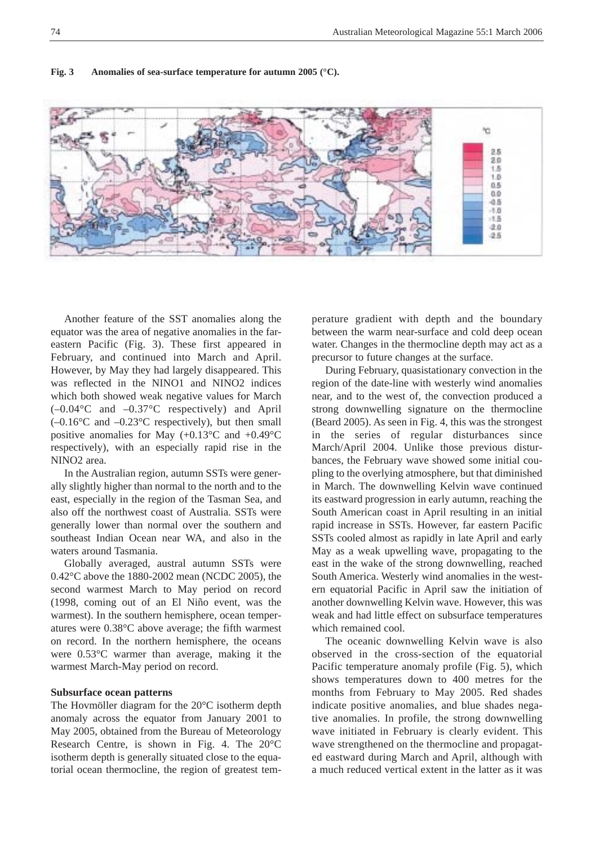#### **Fig. 3 Anomalies of sea-surface temperature for autumn 2005 (°C).**



Another feature of the SST anomalies along the equator was the area of negative anomalies in the fareastern Pacific (Fig. 3). These first appeared in February, and continued into March and April. However, by May they had largely disappeared. This was reflected in the NINO1 and NINO2 indices which both showed weak negative values for March (–0.04°C and –0.37°C respectively) and April  $(-0.16^{\circ}$ C and  $-0.23^{\circ}$ C respectively), but then small positive anomalies for May (+0.13°C and +0.49°C respectively), with an especially rapid rise in the NINO2 area.

In the Australian region, autumn SSTs were generally slightly higher than normal to the north and to the east, especially in the region of the Tasman Sea, and also off the northwest coast of Australia. SSTs were generally lower than normal over the southern and southeast Indian Ocean near WA, and also in the waters around Tasmania.

Globally averaged, austral autumn SSTs were 0.42°C above the 1880-2002 mean (NCDC 2005), the second warmest March to May period on record (1998, coming out of an El Niño event, was the warmest). In the southern hemisphere, ocean temperatures were 0.38°C above average; the fifth warmest on record. In the northern hemisphere, the oceans were 0.53°C warmer than average, making it the warmest March-May period on record.

#### **Subsurface ocean patterns**

The Hovmöller diagram for the 20°C isotherm depth anomaly across the equator from January 2001 to May 2005, obtained from the Bureau of Meteorology Research Centre, is shown in Fig. 4. The 20°C isotherm depth is generally situated close to the equatorial ocean thermocline, the region of greatest temperature gradient with depth and the boundary between the warm near-surface and cold deep ocean water. Changes in the thermocline depth may act as a precursor to future changes at the surface.

During February, quasistationary convection in the region of the date-line with westerly wind anomalies near, and to the west of, the convection produced a strong downwelling signature on the thermocline (Beard 2005). As seen in Fig. 4, this was the strongest in the series of regular disturbances since March/April 2004. Unlike those previous disturbances, the February wave showed some initial coupling to the overlying atmosphere, but that diminished in March. The downwelling Kelvin wave continued its eastward progression in early autumn, reaching the South American coast in April resulting in an initial rapid increase in SSTs. However, far eastern Pacific SSTs cooled almost as rapidly in late April and early May as a weak upwelling wave, propagating to the east in the wake of the strong downwelling, reached South America. Westerly wind anomalies in the western equatorial Pacific in April saw the initiation of another downwelling Kelvin wave. However, this was weak and had little effect on subsurface temperatures which remained cool.

The oceanic downwelling Kelvin wave is also observed in the cross-section of the equatorial Pacific temperature anomaly profile (Fig. 5), which shows temperatures down to 400 metres for the months from February to May 2005. Red shades indicate positive anomalies, and blue shades negative anomalies. In profile, the strong downwelling wave initiated in February is clearly evident. This wave strengthened on the thermocline and propagated eastward during March and April, although with a much reduced vertical extent in the latter as it was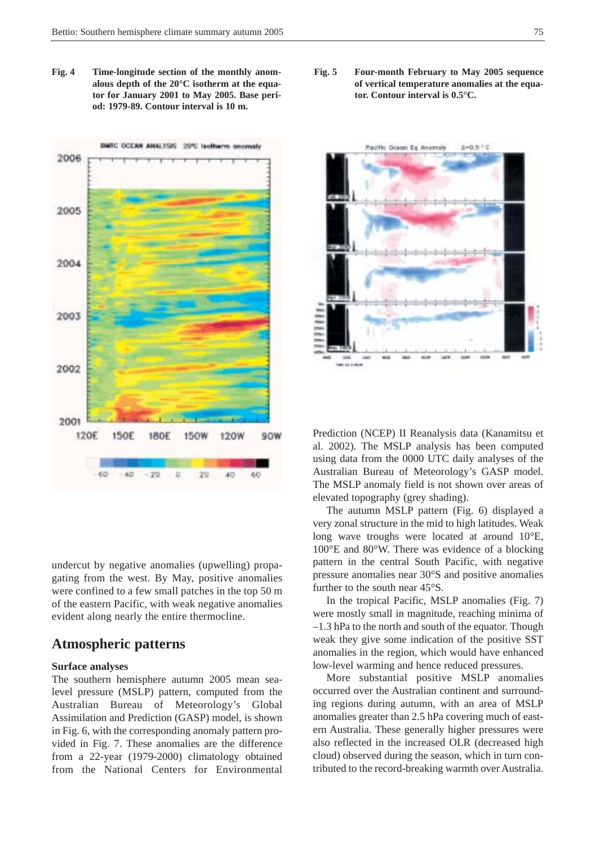**Fig. 4 Time-longitude section of the monthly anomalous depth of the 20°C isotherm at the equator for January 2001 to May 2005. Base period: 1979-89. Contour interval is 10 m.** 



undercut by negative anomalies (upwelling) propagating from the west. By May, positive anomalies were confined to a few small patches in the top 50 m of the eastern Pacific, with weak negative anomalies evident along nearly the entire thermocline.

## **Atmospheric patterns**

#### **Surface analyses**

The southern hemisphere autumn 2005 mean sealevel pressure (MSLP) pattern, computed from the Australian Bureau of Meteorology's Global Assimilation and Prediction (GASP) model, is shown in Fig. 6, with the corresponding anomaly pattern provided in Fig. 7. These anomalies are the difference from a 22-year (1979-2000) climatology obtained from the National Centers for Environmental **Fig. 5 Four-month February to May 2005 sequence of vertical temperature anomalies at the equator. Contour interval is 0.5°C.**



Prediction (NCEP) II Reanalysis data (Kanamitsu et al. 2002). The MSLP analysis has been computed using data from the 0000 UTC daily analyses of the Australian Bureau of Meteorology's GASP model. The MSLP anomaly field is not shown over areas of elevated topography (grey shading).

The autumn MSLP pattern (Fig. 6) displayed a very zonal structure in the mid to high latitudes. Weak long wave troughs were located at around 10°E, 100°E and 80°W. There was evidence of a blocking pattern in the central South Pacific, with negative pressure anomalies near 30°S and positive anomalies further to the south near 45°S.

In the tropical Pacific, MSLP anomalies (Fig. 7) were mostly small in magnitude, reaching minima of –1.3 hPa to the north and south of the equator. Though weak they give some indication of the positive SST anomalies in the region, which would have enhanced low-level warming and hence reduced pressures.

More substantial positive MSLP anomalies occurred over the Australian continent and surrounding regions during autumn, with an area of MSLP anomalies greater than 2.5 hPa covering much of eastern Australia. These generally higher pressures were also reflected in the increased OLR (decreased high cloud) observed during the season, which in turn contributed to the record-breaking warmth over Australia.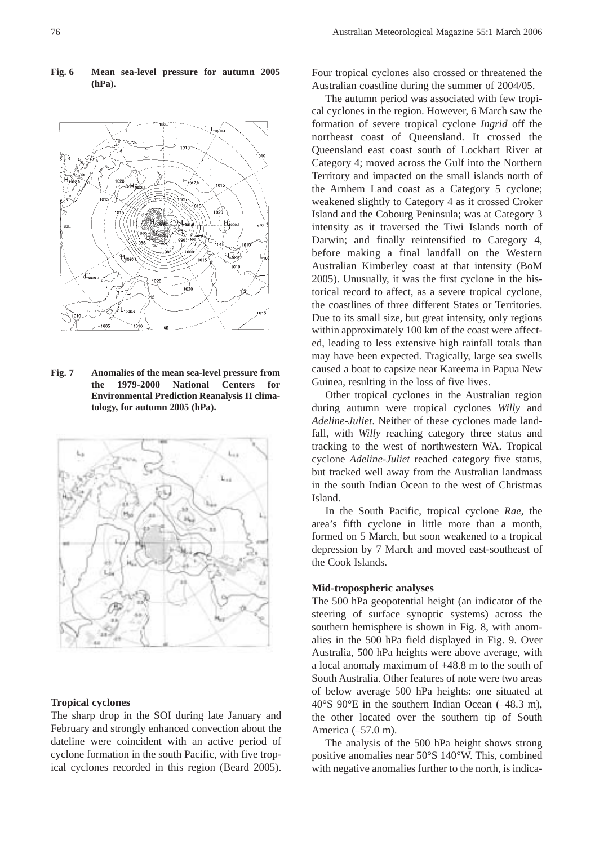#### **Fig. 6 Mean sea-level pressure for autumn 2005 (hPa).**



**Fig. 7 Anomalies of the mean sea-level pressure from the 1979-2000 National Centers for Environmental Prediction Reanalysis II climatology, for autumn 2005 (hPa).**



#### **Tropical cyclones**

The sharp drop in the SOI during late January and February and strongly enhanced convection about the dateline were coincident with an active period of cyclone formation in the south Pacific, with five tropical cyclones recorded in this region (Beard 2005).

Four tropical cyclones also crossed or threatened the Australian coastline during the summer of 2004/05.

The autumn period was associated with few tropical cyclones in the region. However, 6 March saw the formation of severe tropical cyclone *Ingrid* off the northeast coast of Queensland. It crossed the Queensland east coast south of Lockhart River at Category 4; moved across the Gulf into the Northern Territory and impacted on the small islands north of the Arnhem Land coast as a Category 5 cyclone; weakened slightly to Category 4 as it crossed Croker Island and the Cobourg Peninsula; was at Category 3 intensity as it traversed the Tiwi Islands north of Darwin; and finally reintensified to Category 4, before making a final landfall on the Western Australian Kimberley coast at that intensity (BoM 2005). Unusually, it was the first cyclone in the historical record to affect, as a severe tropical cyclone, the coastlines of three different States or Territories. Due to its small size, but great intensity, only regions within approximately 100 km of the coast were affected, leading to less extensive high rainfall totals than may have been expected. Tragically, large sea swells caused a boat to capsize near Kareema in Papua New Guinea, resulting in the loss of five lives.

Other tropical cyclones in the Australian region during autumn were tropical cyclones *Willy* and *Adeline-Juliet*. Neither of these cyclones made landfall, with *Willy* reaching category three status and tracking to the west of northwestern WA. Tropical cyclone *Adeline-Juliet* reached category five status, but tracked well away from the Australian landmass in the south Indian Ocean to the west of Christmas Island.

In the South Pacific, tropical cyclone *Rae*, the area's fifth cyclone in little more than a month, formed on 5 March, but soon weakened to a tropical depression by 7 March and moved east-southeast of the Cook Islands.

#### **Mid-tropospheric analyses**

The 500 hPa geopotential height (an indicator of the steering of surface synoptic systems) across the southern hemisphere is shown in Fig. 8, with anomalies in the 500 hPa field displayed in Fig. 9. Over Australia, 500 hPa heights were above average, with a local anomaly maximum of +48.8 m to the south of South Australia. Other features of note were two areas of below average 500 hPa heights: one situated at 40°S 90°E in the southern Indian Ocean (–48.3 m), the other located over the southern tip of South America (–57.0 m).

The analysis of the 500 hPa height shows strong positive anomalies near 50°S 140°W. This, combined with negative anomalies further to the north, is indica-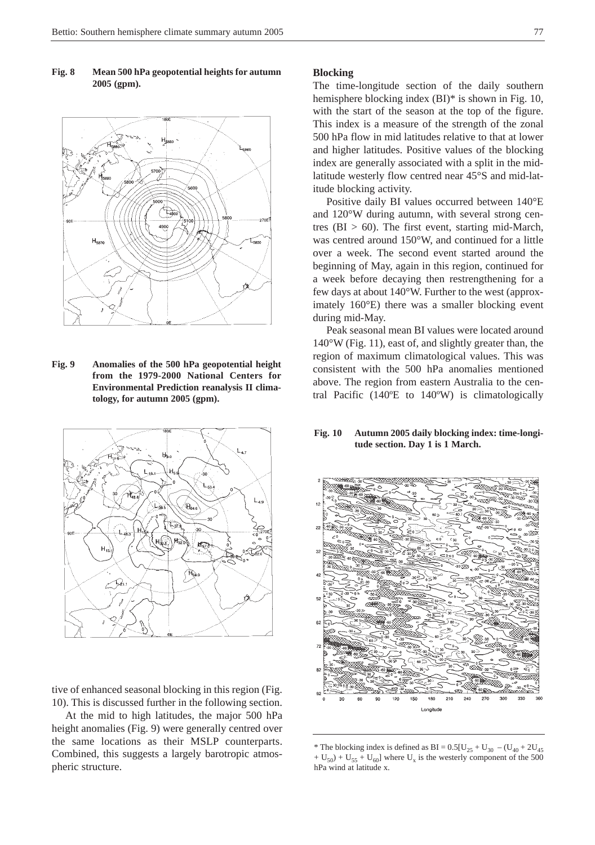#### **Fig. 8 Mean 500 hPa geopotential heights for autumn 2005 (gpm).**



**Fig. 9 Anomalies of the 500 hPa geopotential height from the 1979-2000 National Centers for Environmental Prediction reanalysis II climatology, for autumn 2005 (gpm).**



tive of enhanced seasonal blocking in this region (Fig. 10). This is discussed further in the following section.

At the mid to high latitudes, the major 500 hPa height anomalies (Fig. 9) were generally centred over the same locations as their MSLP counterparts. Combined, this suggests a largely barotropic atmospheric structure.

#### **Blocking**

The time-longitude section of the daily southern hemisphere blocking index (BI)\* is shown in Fig. 10, with the start of the season at the top of the figure. This index is a measure of the strength of the zonal 500 hPa flow in mid latitudes relative to that at lower and higher latitudes. Positive values of the blocking index are generally associated with a split in the midlatitude westerly flow centred near 45°S and mid-latitude blocking activity.

Positive daily BI values occurred between 140°E and 120°W during autumn, with several strong centres ( $BI > 60$ ). The first event, starting mid-March, was centred around 150°W, and continued for a little over a week. The second event started around the beginning of May, again in this region, continued for a week before decaying then restrengthening for a few days at about 140°W. Further to the west (approximately 160°E) there was a smaller blocking event during mid-May.

Peak seasonal mean BI values were located around 140°W (Fig. 11), east of, and slightly greater than, the region of maximum climatological values. This was consistent with the 500 hPa anomalies mentioned above. The region from eastern Australia to the central Pacific (140ºE to 140ºW) is climatologically

#### **Fig. 10 Autumn 2005 daily blocking index: time-longitude section. Day 1 is 1 March.**



<sup>\*</sup> The blocking index is defined as BI =  $0.5[U_{25} + U_{30} - (U_{40} + 2U_{45})]$  $+ U_{50}$  + U<sub>55</sub> + U<sub>60</sub>] where U<sub>x</sub> is the westerly component of the 500 hPa wind at latitude x.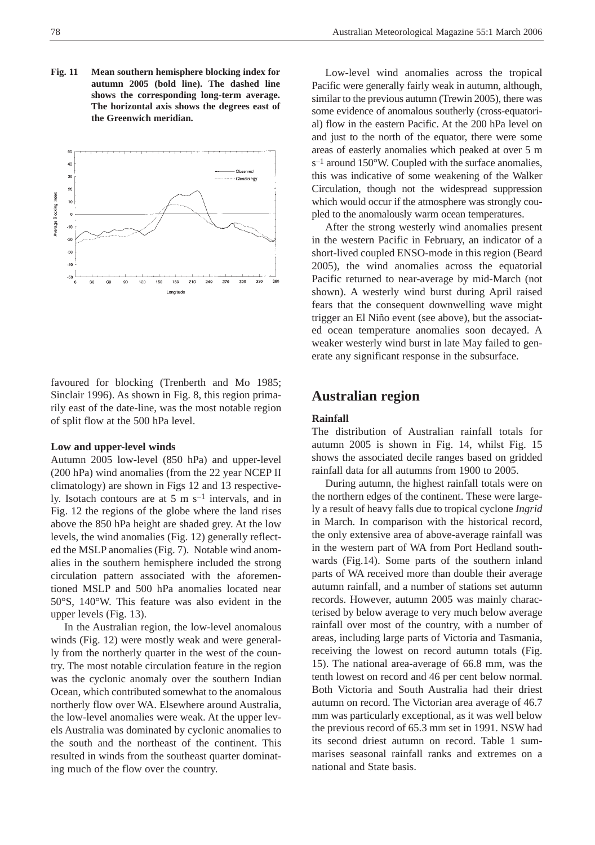**Fig. 11 Mean southern hemisphere blocking index for autumn 2005 (bold line). The dashed line shows the corresponding long-term average. The horizontal axis shows the degrees east of the Greenwich meridian.**



favoured for blocking (Trenberth and Mo 1985; Sinclair 1996). As shown in Fig. 8, this region primarily east of the date-line, was the most notable region of split flow at the 500 hPa level.

#### **Low and upper-level winds**

Autumn 2005 low-level (850 hPa) and upper-level (200 hPa) wind anomalies (from the 22 year NCEP II climatology) are shown in Figs 12 and 13 respectively. Isotach contours are at 5 m s–1 intervals, and in Fig. 12 the regions of the globe where the land rises above the 850 hPa height are shaded grey. At the low levels, the wind anomalies (Fig. 12) generally reflected the MSLP anomalies (Fig. 7). Notable wind anomalies in the southern hemisphere included the strong circulation pattern associated with the aforementioned MSLP and 500 hPa anomalies located near 50°S, 140°W. This feature was also evident in the upper levels (Fig. 13).

In the Australian region, the low-level anomalous winds (Fig. 12) were mostly weak and were generally from the northerly quarter in the west of the country. The most notable circulation feature in the region was the cyclonic anomaly over the southern Indian Ocean, which contributed somewhat to the anomalous northerly flow over WA. Elsewhere around Australia, the low-level anomalies were weak. At the upper levels Australia was dominated by cyclonic anomalies to the south and the northeast of the continent. This resulted in winds from the southeast quarter dominating much of the flow over the country.

Low-level wind anomalies across the tropical Pacific were generally fairly weak in autumn, although, similar to the previous autumn (Trewin 2005), there was some evidence of anomalous southerly (cross-equatorial) flow in the eastern Pacific. At the 200 hPa level on and just to the north of the equator, there were some areas of easterly anomalies which peaked at over 5 m s–1 around 150°W. Coupled with the surface anomalies, this was indicative of some weakening of the Walker Circulation, though not the widespread suppression which would occur if the atmosphere was strongly coupled to the anomalously warm ocean temperatures.

After the strong westerly wind anomalies present in the western Pacific in February, an indicator of a short-lived coupled ENSO-mode in this region (Beard 2005), the wind anomalies across the equatorial Pacific returned to near-average by mid-March (not shown). A westerly wind burst during April raised fears that the consequent downwelling wave might trigger an El Niño event (see above), but the associated ocean temperature anomalies soon decayed. A weaker westerly wind burst in late May failed to generate any significant response in the subsurface.

## **Australian region**

#### **Rainfall**

The distribution of Australian rainfall totals for autumn 2005 is shown in Fig. 14, whilst Fig. 15 shows the associated decile ranges based on gridded rainfall data for all autumns from 1900 to 2005.

During autumn, the highest rainfall totals were on the northern edges of the continent. These were largely a result of heavy falls due to tropical cyclone *Ingrid* in March. In comparison with the historical record, the only extensive area of above-average rainfall was in the western part of WA from Port Hedland southwards (Fig.14). Some parts of the southern inland parts of WA received more than double their average autumn rainfall, and a number of stations set autumn records. However, autumn 2005 was mainly characterised by below average to very much below average rainfall over most of the country, with a number of areas, including large parts of Victoria and Tasmania, receiving the lowest on record autumn totals (Fig. 15). The national area-average of 66.8 mm, was the tenth lowest on record and 46 per cent below normal. Both Victoria and South Australia had their driest autumn on record. The Victorian area average of 46.7 mm was particularly exceptional, as it was well below the previous record of 65.3 mm set in 1991. NSW had its second driest autumn on record. Table 1 summarises seasonal rainfall ranks and extremes on a national and State basis.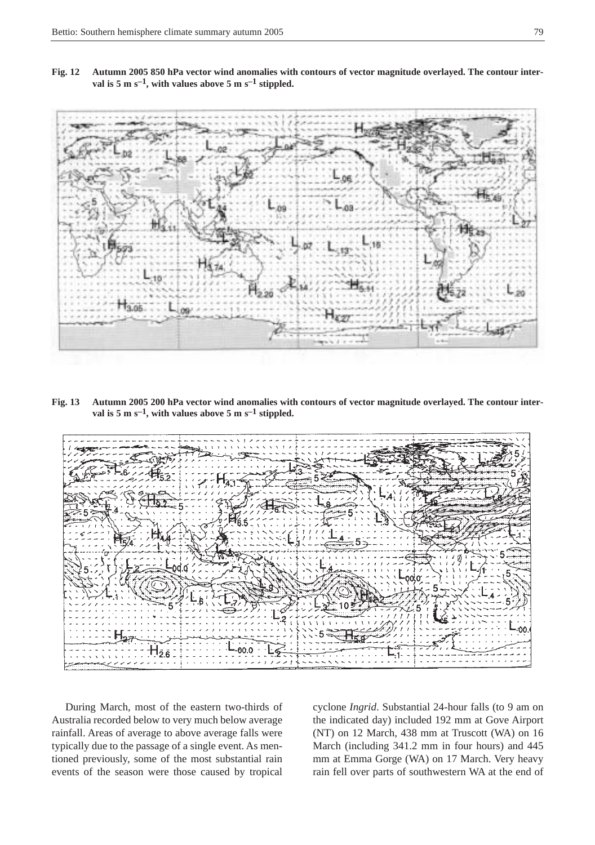**Fig. 12 Autumn 2005 850 hPa vector wind anomalies with contours of vector magnitude overlayed. The contour interval is 5 m s–1, with values above 5 m s–1 stippled.**



**Fig. 13 Autumn 2005 200 hPa vector wind anomalies with contours of vector magnitude overlayed. The contour interval is 5 m s–1, with values above 5 m s–1 stippled.**



During March, most of the eastern two-thirds of Australia recorded below to very much below average rainfall. Areas of average to above average falls were typically due to the passage of a single event. As mentioned previously, some of the most substantial rain events of the season were those caused by tropical cyclone *Ingrid*. Substantial 24-hour falls (to 9 am on the indicated day) included 192 mm at Gove Airport (NT) on 12 March, 438 mm at Truscott (WA) on 16 March (including 341.2 mm in four hours) and 445 mm at Emma Gorge (WA) on 17 March. Very heavy rain fell over parts of southwestern WA at the end of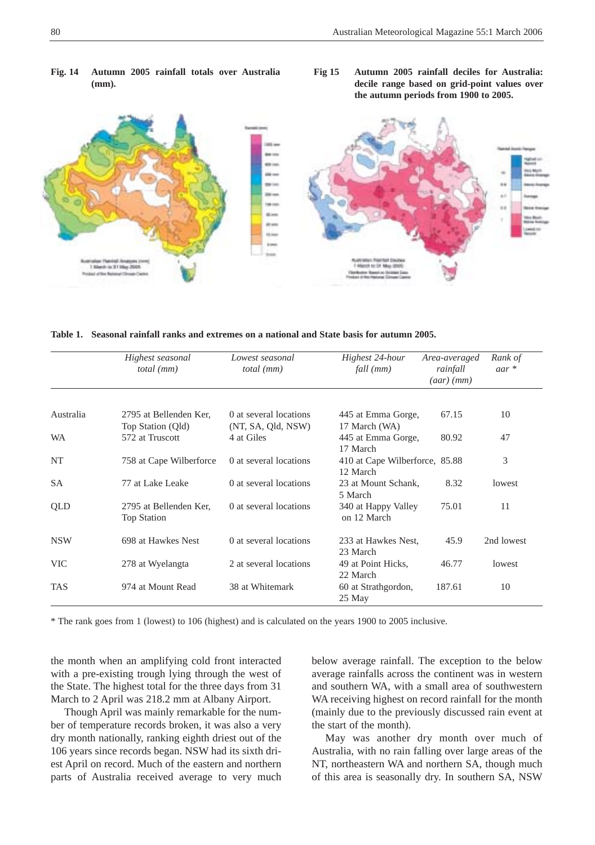

**Fig. 14 Autumn 2005 rainfall totals over Australia (mm).**



| Table 1. Seasonal rainfall ranks and extremes on a national and State basis for autumn 2005. |  |  |  |
|----------------------------------------------------------------------------------------------|--|--|--|
|                                                                                              |  |  |  |

|            | Highest seasonal<br>$total$ ( $mm$ )         | Lowest seasonal<br>total (mm)                | Highest 24-hour<br>fall (mm)               | Area-averaged<br>rainfall<br>$(aar)$ (mm) | Rank of<br>$aar *$ |
|------------|----------------------------------------------|----------------------------------------------|--------------------------------------------|-------------------------------------------|--------------------|
|            |                                              |                                              |                                            |                                           |                    |
| Australia  | 2795 at Bellenden Ker,<br>Top Station (Qld)  | 0 at several locations<br>(NT, SA, Qld, NSW) | 445 at Emma Gorge,<br>17 March (WA)        | 67.15                                     | 10                 |
| <b>WA</b>  | 572 at Truscott                              | 4 at Giles                                   | 445 at Emma Gorge,<br>17 March             | 80.92                                     | 47                 |
| NT         | 758 at Cape Wilberforce                      | 0 at several locations                       | 410 at Cape Wilberforce, 85.88<br>12 March |                                           | 3                  |
| <b>SA</b>  | 77 at Lake Leake                             | 0 at several locations                       | 23 at Mount Schank,<br>5 March             | 8.32                                      | lowest             |
| <b>OLD</b> | 2795 at Bellenden Ker,<br><b>Top Station</b> | 0 at several locations                       | 340 at Happy Valley<br>on 12 March         | 75.01                                     | 11                 |
| <b>NSW</b> | 698 at Hawkes Nest                           | 0 at several locations                       | 233 at Hawkes Nest,<br>23 March            | 45.9                                      | 2nd lowest         |
| <b>VIC</b> | 278 at Wyelangta                             | 2 at several locations                       | 49 at Point Hicks,<br>22 March             | 46.77                                     | lowest             |
| <b>TAS</b> | 974 at Mount Read                            | 38 at Whitemark                              | 60 at Strathgordon,<br>25 May              | 187.61                                    | 10                 |

\* The rank goes from 1 (lowest) to 106 (highest) and is calculated on the years 1900 to 2005 inclusive.

the month when an amplifying cold front interacted with a pre-existing trough lying through the west of the State. The highest total for the three days from 31 March to 2 April was 218.2 mm at Albany Airport.

Though April was mainly remarkable for the number of temperature records broken, it was also a very dry month nationally, ranking eighth driest out of the 106 years since records began. NSW had its sixth driest April on record. Much of the eastern and northern parts of Australia received average to very much below average rainfall. The exception to the below average rainfalls across the continent was in western and southern WA, with a small area of southwestern WA receiving highest on record rainfall for the month (mainly due to the previously discussed rain event at the start of the month).

May was another dry month over much of Australia, with no rain falling over large areas of the NT, northeastern WA and northern SA, though much of this area is seasonally dry. In southern SA, NSW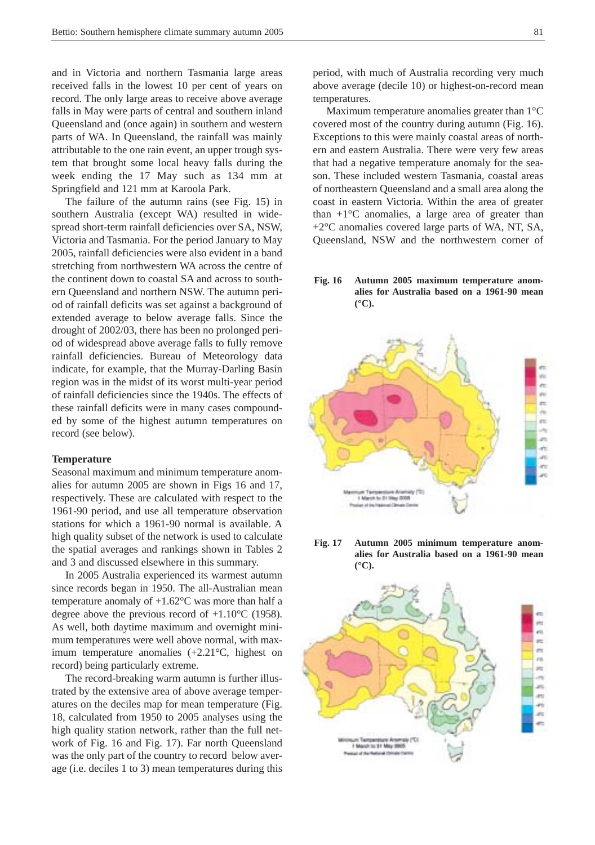and in Victoria and northern Tasmania large areas received falls in the lowest 10 per cent of years on record. The only large areas to receive above average falls in May were parts of central and southern inland Queensland and (once again) in southern and western parts of WA. In Queensland, the rainfall was mainly attributable to the one rain event, an upper trough system that brought some local heavy falls during the week ending the 17 May such as 134 mm at Springfield and 121 mm at Karoola Park.

The failure of the autumn rains (see Fig. 15) in southern Australia (except WA) resulted in widespread short-term rainfall deficiencies over SA, NSW, Victoria and Tasmania. For the period January to May 2005, rainfall deficiencies were also evident in a band stretching from northwestern WA across the centre of the continent down to coastal SA and across to southern Queensland and northern NSW. The autumn period of rainfall deficits was set against a background of extended average to below average falls. Since the drought of 2002/03, there has been no prolonged period of widespread above average falls to fully remove rainfall deficiencies. Bureau of Meteorology data indicate, for example, that the Murray-Darling Basin region was in the midst of its worst multi-year period of rainfall deficiencies since the 1940s. The effects of these rainfall deficits were in many cases compounded by some of the highest autumn temperatures on record (see below).

#### **Temperature**

Seasonal maximum and minimum temperature anomalies for autumn 2005 are shown in Figs 16 and 17, respectively. These are calculated with respect to the 1961-90 period, and use all temperature observation stations for which a 1961-90 normal is available. A high quality subset of the network is used to calculate the spatial averages and rankings shown in Tables 2 and 3 and discussed elsewhere in this summary.

In 2005 Australia experienced its warmest autumn since records began in 1950. The all-Australian mean temperature anomaly of  $+1.62^{\circ}$ C was more than half a degree above the previous record of +1.10°C (1958). As well, both daytime maximum and overnight minimum temperatures were well above normal, with maximum temperature anomalies (+2.21°C, highest on record) being particularly extreme.

The record-breaking warm autumn is further illustrated by the extensive area of above average temperatures on the deciles map for mean temperature (Fig. 18, calculated from 1950 to 2005 analyses using the high quality station network, rather than the full network of Fig. 16 and Fig. 17). Far north Queensland was the only part of the country to record below average (i.e. deciles 1 to 3) mean temperatures during this period, with much of Australia recording very much above average (decile 10) or highest-on-record mean temperatures.

Maximum temperature anomalies greater than 1°C covered most of the country during autumn (Fig. 16). Exceptions to this were mainly coastal areas of northern and eastern Australia. There were very few areas that had a negative temperature anomaly for the season. These included western Tasmania, coastal areas of northeastern Queensland and a small area along the coast in eastern Victoria. Within the area of greater than  $+1$ °C anomalies, a large area of greater than  $+2$ <sup>o</sup>C anomalies covered large parts of WA, NT, SA, Queensland, NSW and the northwestern corner of

**Fig. 16 Autumn 2005 maximum temperature anomalies for Australia based on a 1961-90 mean (°C).**





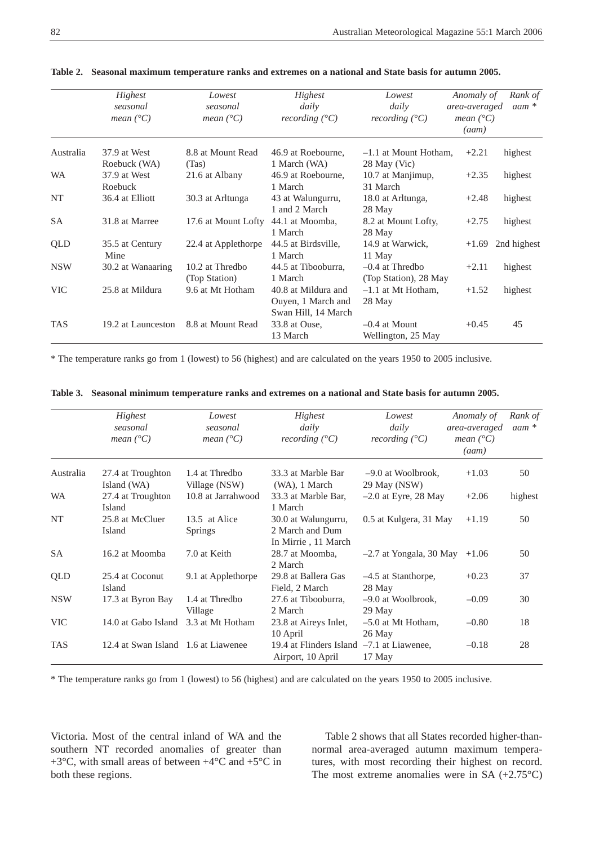|            | Highest<br>seasonal<br>mean $(^{\circ}C)$ | Lowest<br>seasonal<br>mean $(^{\circ}C)$ | Highest<br>daily<br>recording $(^{\circ}C)$                      | Lowest<br>daily<br>recording $(^{\circ}C)$ | Anomaly of<br>area-averaged<br><i>mean</i> $(^{\circ}C)$<br>(aam) | Rank of<br>$a$ am $*$ |
|------------|-------------------------------------------|------------------------------------------|------------------------------------------------------------------|--------------------------------------------|-------------------------------------------------------------------|-----------------------|
| Australia  | 37.9 at West<br>Roebuck (WA)              | 8.8 at Mount Read<br>(Tas)               | 46.9 at Roebourne.<br>1 March (WA)                               | $-1.1$ at Mount Hotham.<br>28 May (Vic)    | $+2.21$                                                           | highest               |
| <b>WA</b>  | 37.9 at West<br>Roebuck                   | 21.6 at Albany                           | 46.9 at Roebourne,<br>1 March                                    | 10.7 at Manjimup,<br>31 March              | $+2.35$                                                           | highest               |
| NT         | 36.4 at Elliott                           | 30.3 at Arltunga                         | 43 at Walungurru,<br>1 and 2 March                               | 18.0 at Arltunga,<br>28 May                | $+2.48$                                                           | highest               |
| <b>SA</b>  | 31.8 at Marree                            | 17.6 at Mount Lofty                      | 44.1 at Moomba,<br>1 March                                       | 8.2 at Mount Lofty,<br>28 May              | $+2.75$                                                           | highest               |
| QLD        | 35.5 at Century<br>Mine                   | 22.4 at Applethorpe                      | 44.5 at Birdsville,<br>1 March                                   | 14.9 at Warwick,<br>11 May                 | $+1.69$                                                           | 2nd highest           |
| <b>NSW</b> | 30.2 at Wanaaring                         | 10.2 at Thredbo<br>(Top Station)         | 44.5 at Tibooburra,<br>1 March                                   | $-0.4$ at Thredbo<br>(Top Station), 28 May | $+2.11$                                                           | highest               |
| <b>VIC</b> | 25.8 at Mildura                           | 9.6 at Mt Hotham                         | 40.8 at Mildura and<br>Ouyen, 1 March and<br>Swan Hill, 14 March | $-1.1$ at Mt Hotham.<br>28 May             | $+1.52$                                                           | highest               |
| <b>TAS</b> | 19.2 at Launceston                        | 8.8 at Mount Read                        | 33.8 at Ouse,<br>13 March                                        | $-0.4$ at Mount<br>Wellington, 25 May      | $+0.45$                                                           | 45                    |

**Table 2. Seasonal maximum temperature ranks and extremes on a national and State basis for autumn 2005.**

\* The temperature ranks go from 1 (lowest) to 56 (highest) and are calculated on the years 1950 to 2005 inclusive.

|            | Highest<br>seasonal<br>mean $(^{\circ}C)$ | Lowest<br>seasonal<br>mean $(^{\circ}C)$ | Highest<br>daily<br>recording $(^{\circ}C)$                    | Lowest<br>daily<br>recording $(^{\circ}C)$ | Anomaly of<br>area-averaged<br><i>mean</i> $(^{\circ}C)$<br>(aam) | Rank of<br>$a$ am $*$ |
|------------|-------------------------------------------|------------------------------------------|----------------------------------------------------------------|--------------------------------------------|-------------------------------------------------------------------|-----------------------|
| Australia  | 27.4 at Troughton<br>Island (WA)          | 1.4 at Thredbo<br>Village (NSW)          | 33.3 at Marble Bar<br>(WA), 1 March                            | $-9.0$ at Woolbrook,<br>29 May (NSW)       | $+1.03$                                                           | 50                    |
| <b>WA</b>  | 27.4 at Troughton<br>Island               | 10.8 at Jarrahwood                       | 33.3 at Marble Bar.<br>1 March                                 | $-2.0$ at Eyre, 28 May                     | $+2.06$                                                           | highest               |
| NT         | 25.8 at McCluer<br>Island                 | 13.5 at Alice<br><b>Springs</b>          | 30.0 at Walungurru,<br>2 March and Dum<br>In Mirrie, 11 March  | 0.5 at Kulgera, 31 May                     | $+1.19$                                                           | 50                    |
| SA         | 16.2 at Moomba                            | 7.0 at Keith                             | 28.7 at Moomba,<br>2 March                                     | $-2.7$ at Yongala, 30 May                  | $+1.06$                                                           | 50                    |
| QLD        | 25.4 at Coconut<br>Island                 | 9.1 at Applethorpe                       | 29.8 at Ballera Gas<br>Field, 2 March                          | $-4.5$ at Stanthorpe,<br>28 May            | $+0.23$                                                           | 37                    |
| <b>NSW</b> | 17.3 at Byron Bay                         | 1.4 at Thredbo<br>Village                | 27.6 at Tibooburra,<br>2 March                                 | $-9.0$ at Woolbrook,<br>29 May             | $-0.09$                                                           | 30                    |
| <b>VIC</b> | 14.0 at Gabo Island                       | 3.3 at Mt Hotham                         | 23.8 at Aireys Inlet,<br>10 April                              | $-0.80$<br>$-5.0$ at Mt Hotham,<br>26 May  |                                                                   | 18                    |
| <b>TAS</b> | 12.4 at Swan Island 1.6 at Liawenee       |                                          | 19.4 at Flinders Island -7.1 at Liawenee,<br>Airport, 10 April | 17 May                                     | $-0.18$                                                           | 28                    |

|  |  |  | Table 3. Seasonal minimum temperature ranks and extremes on a national and State basis for autumn 2005. |  |  |  |
|--|--|--|---------------------------------------------------------------------------------------------------------|--|--|--|
|--|--|--|---------------------------------------------------------------------------------------------------------|--|--|--|

\* The temperature ranks go from 1 (lowest) to 56 (highest) and are calculated on the years 1950 to 2005 inclusive.

Victoria. Most of the central inland of WA and the southern NT recorded anomalies of greater than +3°C, with small areas of between +4°C and +5°C in both these regions.

Table 2 shows that all States recorded higher-thannormal area-averaged autumn maximum temperatures, with most recording their highest on record. The most extreme anomalies were in SA (+2.75°C)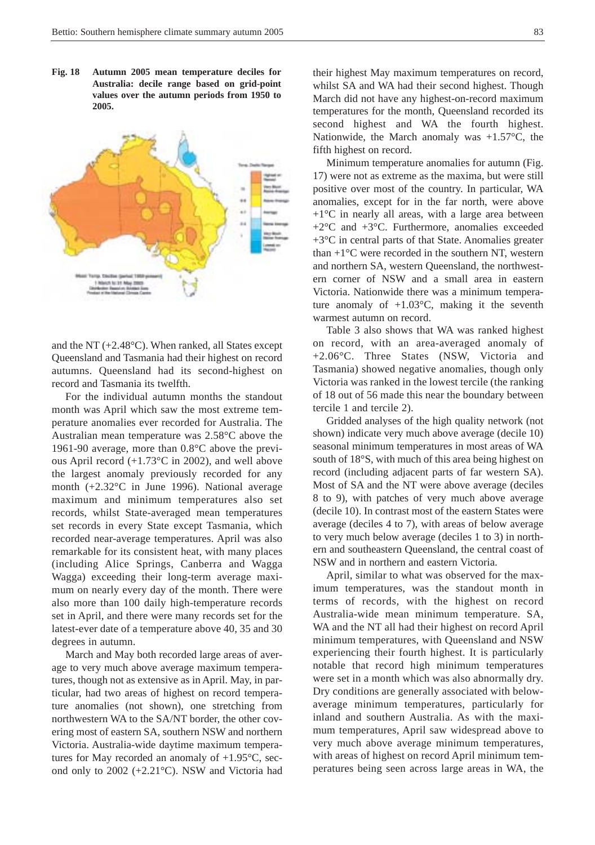**Fig. 18 Autumn 2005 mean temperature deciles for Australia: decile range based on grid-point values over the autumn periods from 1950 to 2005.**



and the NT (+2.48°C). When ranked, all States except Queensland and Tasmania had their highest on record autumns. Queensland had its second-highest on record and Tasmania its twelfth.

For the individual autumn months the standout month was April which saw the most extreme temperature anomalies ever recorded for Australia. The Australian mean temperature was 2.58°C above the 1961-90 average, more than 0.8°C above the previous April record (+1.73°C in 2002), and well above the largest anomaly previously recorded for any month (+2.32°C in June 1996). National average maximum and minimum temperatures also set records, whilst State-averaged mean temperatures set records in every State except Tasmania, which recorded near-average temperatures. April was also remarkable for its consistent heat, with many places (including Alice Springs, Canberra and Wagga Wagga) exceeding their long-term average maximum on nearly every day of the month. There were also more than 100 daily high-temperature records set in April, and there were many records set for the latest-ever date of a temperature above 40, 35 and 30 degrees in autumn.

March and May both recorded large areas of average to very much above average maximum temperatures, though not as extensive as in April. May, in particular, had two areas of highest on record temperature anomalies (not shown), one stretching from northwestern WA to the SA/NT border, the other covering most of eastern SA, southern NSW and northern Victoria. Australia-wide daytime maximum temperatures for May recorded an anomaly of +1.95°C, second only to 2002 (+2.21°C). NSW and Victoria had their highest May maximum temperatures on record, whilst SA and WA had their second highest. Though March did not have any highest-on-record maximum temperatures for the month, Queensland recorded its second highest and WA the fourth highest. Nationwide, the March anomaly was  $+1.57^{\circ}$ C, the fifth highest on record.

Minimum temperature anomalies for autumn (Fig. 17) were not as extreme as the maxima, but were still positive over most of the country. In particular, WA anomalies, except for in the far north, were above  $+1$ <sup>o</sup>C in nearly all areas, with a large area between +2°C and +3°C. Furthermore, anomalies exceeded +3°C in central parts of that State. Anomalies greater than  $+1$ <sup>o</sup>C were recorded in the southern NT, western and northern SA, western Queensland, the northwestern corner of NSW and a small area in eastern Victoria. Nationwide there was a minimum temperature anomaly of  $+1.03^{\circ}$ C, making it the seventh warmest autumn on record.

Table 3 also shows that WA was ranked highest on record, with an area-averaged anomaly of +2.06°C. Three States (NSW, Victoria and Tasmania) showed negative anomalies, though only Victoria was ranked in the lowest tercile (the ranking of 18 out of 56 made this near the boundary between tercile 1 and tercile 2).

Gridded analyses of the high quality network (not shown) indicate very much above average (decile 10) seasonal minimum temperatures in most areas of WA south of 18°S, with much of this area being highest on record (including adjacent parts of far western SA). Most of SA and the NT were above average (deciles 8 to 9), with patches of very much above average (decile 10). In contrast most of the eastern States were average (deciles 4 to 7), with areas of below average to very much below average (deciles 1 to 3) in northern and southeastern Queensland, the central coast of NSW and in northern and eastern Victoria.

April, similar to what was observed for the maximum temperatures, was the standout month in terms of records, with the highest on record Australia-wide mean minimum temperature. SA, WA and the NT all had their highest on record April minimum temperatures, with Queensland and NSW experiencing their fourth highest. It is particularly notable that record high minimum temperatures were set in a month which was also abnormally dry. Dry conditions are generally associated with belowaverage minimum temperatures, particularly for inland and southern Australia. As with the maximum temperatures, April saw widespread above to very much above average minimum temperatures, with areas of highest on record April minimum temperatures being seen across large areas in WA, the